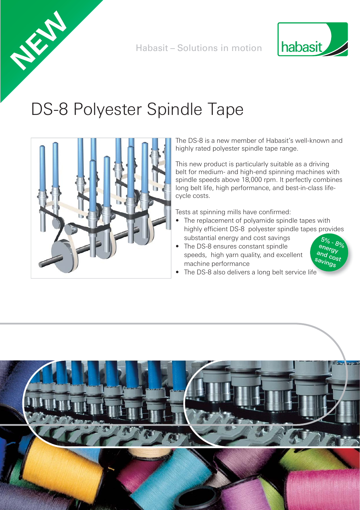



# DS-8 Polyester Spindle Tape



**NEW**

The DS-8 is a new member of Habasit's well-known and highly rated polyester spindle tape range.

This new product is particularly suitable as a driving belt for medium- and high-end spinning machines with spindle speeds above 18,000 rpm. It perfectly combines long belt life, high performance, and best-in-class lifecycle costs.

Tests at spinning mills have confirmed:

- The replacement of polyamide spindle tapes with highly efficient DS-8 polyester spindle tapes provides substantial energy and cost savings
- The DS-8 ensures constant spindle speeds, high yarn quality, and excellent machine performance



• The DS-8 also delivers a long belt service life